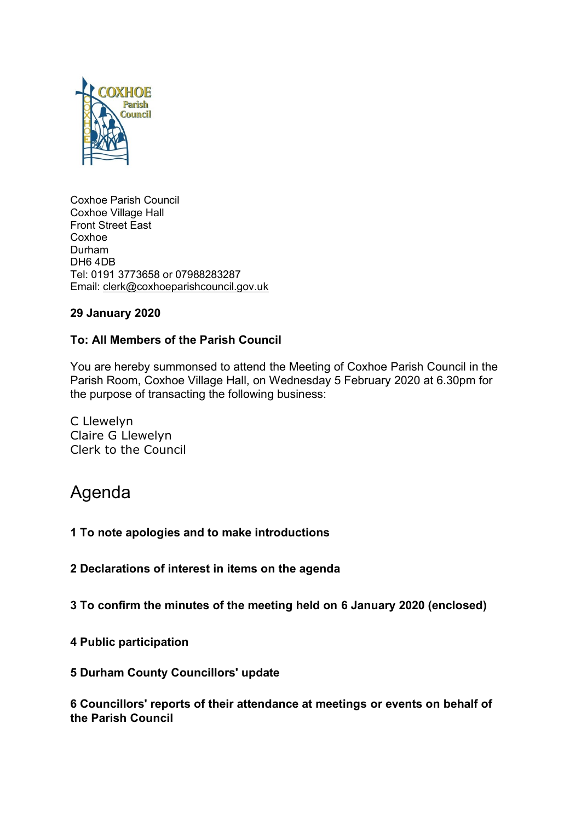

Coxhoe Parish Council Coxhoe Village Hall Front Street East Coxhoe Durham DH6 4DB Tel: 0191 3773658 or 07988283287 Email: [clerk@coxhoeparishcouncil.gov.uk](mailto:clerk@coxhoeparishcouncil.gov.uk)

# **29 January 2020**

# **To: All Members of the Parish Council**

You are hereby summonsed to attend the Meeting of Coxhoe Parish Council in the Parish Room, Coxhoe Village Hall, on Wednesday 5 February 2020 at 6.30pm for the purpose of transacting the following business:

C Llewelyn Claire G Llewelyn Clerk to the Council

# Agenda

#### **1 To note apologies and to make introductions**

**2 Declarations of interest in items on the agenda**

**3 To confirm the minutes of the meeting held on 6 January 2020 (enclosed)**

**4 Public participation**

#### **5 Durham County Councillors' update**

**6 Councillors' reports of their attendance at meetings or events on behalf of the Parish Council**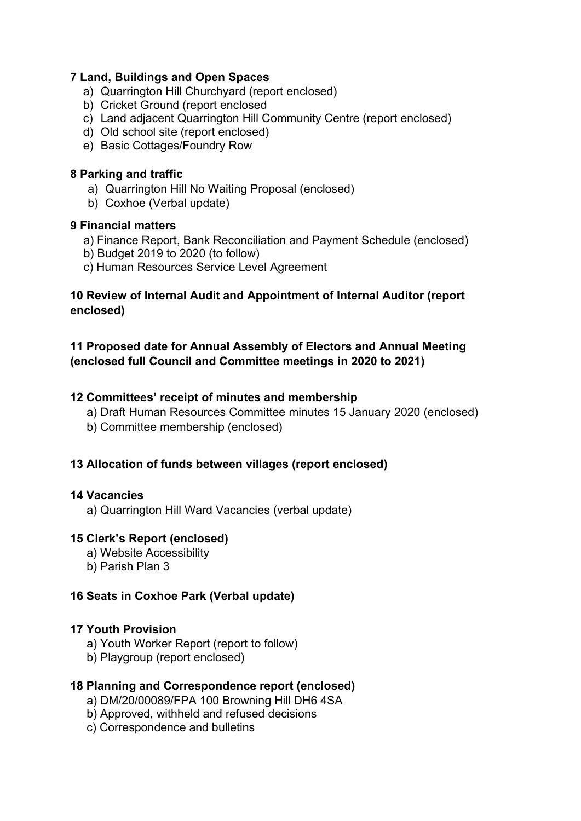## **7 Land, Buildings and Open Spaces**

- a) Quarrington Hill Churchyard (report enclosed)
- b) Cricket Ground (report enclosed
- c) Land adjacent Quarrington Hill Community Centre (report enclosed)
- d) Old school site (report enclosed)
- e) Basic Cottages/Foundry Row

#### **8 Parking and traffic**

- a) Quarrington Hill No Waiting Proposal (enclosed)
- b) Coxhoe (Verbal update)

### **9 Financial matters**

- a) Finance Report, Bank Reconciliation and Payment Schedule (enclosed)
- b) Budget 2019 to 2020 (to follow)
- c) Human Resources Service Level Agreement

# **10 Review of Internal Audit and Appointment of Internal Auditor (report enclosed)**

# **11 Proposed date for Annual Assembly of Electors and Annual Meeting (enclosed full Council and Committee meetings in 2020 to 2021)**

### **12 Committees' receipt of minutes and membership**

- a) Draft Human Resources Committee minutes 15 January 2020 (enclosed)
- b) Committee membership (enclosed)

# **13 Allocation of funds between villages (report enclosed)**

#### **14 Vacancies**

a) Quarrington Hill Ward Vacancies (verbal update)

# **15 Clerk's Report (enclosed)**

- a) Website Accessibility
- b) Parish Plan 3

# **16 Seats in Coxhoe Park (Verbal update)**

#### **17 Youth Provision**

- a) Youth Worker Report (report to follow)
- b) Playgroup (report enclosed)

#### **18 Planning and Correspondence report (enclosed)**

- a) DM/20/00089/FPA 100 Browning Hill DH6 4SA
- b) Approved, withheld and refused decisions
- c) Correspondence and bulletins